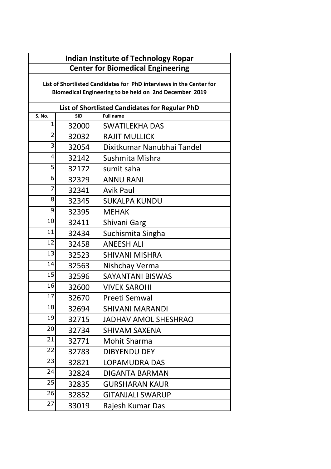| <b>Indian Institute of Technology Ropar</b> |
|---------------------------------------------|
| <b>Center for Biomedical Engineering</b>    |

**List of Shortlisted Candidates for PhD interviews in the Center for Biomedical Engineering to be held on 2nd December 2019** 

| List of Shortlisted Candidates for Regular PhD |            |                             |  |  |  |
|------------------------------------------------|------------|-----------------------------|--|--|--|
| S. No.                                         | <b>SID</b> | <b>Full name</b>            |  |  |  |
| 1                                              | 32000      | <b>SWATILEKHA DAS</b>       |  |  |  |
| $\overline{2}$                                 | 32032      | <b>RAJIT MULLICK</b>        |  |  |  |
| 3                                              | 32054      | Dixitkumar Nanubhai Tandel  |  |  |  |
| 4                                              | 32142      | Sushmita Mishra             |  |  |  |
| 5                                              | 32172      | sumit saha                  |  |  |  |
| 6                                              | 32329      | <b>ANNU RANI</b>            |  |  |  |
| $\overline{7}$                                 | 32341      | <b>Avik Paul</b>            |  |  |  |
| 8                                              | 32345      | <b>SUKALPA KUNDU</b>        |  |  |  |
| 9                                              | 32395      | <b>MEHAK</b>                |  |  |  |
| 10                                             | 32411      | Shivani Garg                |  |  |  |
| 11                                             | 32434      | Suchismita Singha           |  |  |  |
| 12                                             | 32458      | <b>ANEESH ALI</b>           |  |  |  |
| 13                                             | 32523      | <b>SHIVANI MISHRA</b>       |  |  |  |
| 14                                             | 32563      | Nishchay Verma              |  |  |  |
| 15                                             | 32596      | <b>SAYANTANI BISWAS</b>     |  |  |  |
| 16                                             | 32600      | <b>VIVEK SAROHI</b>         |  |  |  |
| 17                                             | 32670      | Preeti Semwal               |  |  |  |
| 18                                             | 32694      | <b>SHIVANI MARANDI</b>      |  |  |  |
| 19                                             | 32715      | <b>JADHAV AMOL SHESHRAO</b> |  |  |  |
| 20                                             | 32734      | <b>SHIVAM SAXENA</b>        |  |  |  |
| 21                                             | 32771      | <b>Mohit Sharma</b>         |  |  |  |
| 22                                             | 32783      | <b>DIBYENDU DEY</b>         |  |  |  |
| 23                                             | 32821      | <b>LOPAMUDRA DAS</b>        |  |  |  |
| 24                                             | 32824      | <b>DIGANTA BARMAN</b>       |  |  |  |
| 25                                             | 32835      | <b>GURSHARAN KAUR</b>       |  |  |  |
| 26                                             | 32852      | <b>GITANJALI SWARUP</b>     |  |  |  |
| 27                                             | 33019      | Rajesh Kumar Das            |  |  |  |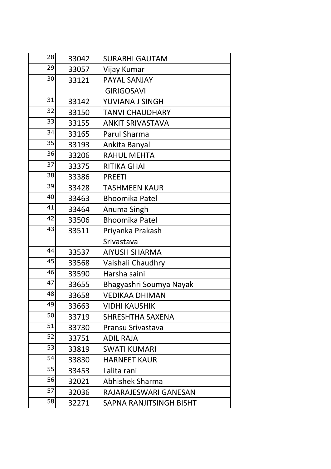| 28 | 33042 | <b>SURABHI GAUTAM</b>   |
|----|-------|-------------------------|
| 29 | 33057 | Vijay Kumar             |
| 30 | 33121 | <b>PAYAL SANJAY</b>     |
|    |       | <b>GIRIGOSAVI</b>       |
| 31 | 33142 | YUVIANA J SINGH         |
| 32 | 33150 | <b>TANVI CHAUDHARY</b>  |
| 33 | 33155 | <b>ANKIT SRIVASTAVA</b> |
| 34 | 33165 | Parul Sharma            |
| 35 | 33193 | Ankita Banyal           |
| 36 | 33206 | <b>RAHUL MEHTA</b>      |
| 37 | 33375 | <b>RITIKA GHAI</b>      |
| 38 | 33386 | <b>PREETI</b>           |
| 39 | 33428 | <b>TASHMEEN KAUR</b>    |
| 40 | 33463 | <b>Bhoomika Patel</b>   |
| 41 | 33464 | Anuma Singh             |
| 42 | 33506 | <b>Bhoomika Patel</b>   |
| 43 | 33511 | Priyanka Prakash        |
|    |       | Srivastava              |
| 44 | 33537 | <b>AIYUSH SHARMA</b>    |
| 45 | 33568 | Vaishali Chaudhry       |
| 46 | 33590 | Harsha saini            |
| 47 | 33655 | Bhagyashri Soumya Nayak |
| 48 | 33658 | <b>VEDIKAA DHIMAN</b>   |
| 49 | 33663 | <b>VIDHI KAUSHIK</b>    |
| 50 | 33719 | <b>SHRESHTHA SAXENA</b> |
| 51 | 33730 | Pransu Srivastava       |
| 52 | 33751 | <b>ADIL RAJA</b>        |
| 53 | 33819 | <b>SWATI KUMARI</b>     |
| 54 | 33830 | <b>HARNEET KAUR</b>     |
| 55 | 33453 | Lalita rani             |
| 56 | 32021 | Abhishek Sharma         |
| 57 | 32036 | RAJARAJESWARI GANESAN   |
| 58 | 32271 | SAPNA RANJITSINGH BISHT |